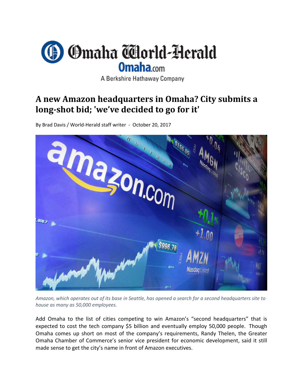

A Berkshire Hathaway Company

## **A new Amazon headquarters in Omaha? City submits a long‐shot bid; 'we've decided to go for it'**

By Brad Davis / World‐Herald staff writer ‐ October 20, 2017



Amazon, which operates out of its base in Seattle, has opened a search for a second headquarters site to *house as many as 50,000 employees.*

Add Omaha to the list of cities competing to win Amazon's "second headquarters" that is expected to cost the tech company \$5 billion and eventually employ 50,000 people. Though Omaha comes up short on most of the company's requirements, Randy Thelen, the Greater Omaha Chamber of Commerce's senior vice president for economic development, said it still made sense to get the city's name in front of Amazon executives.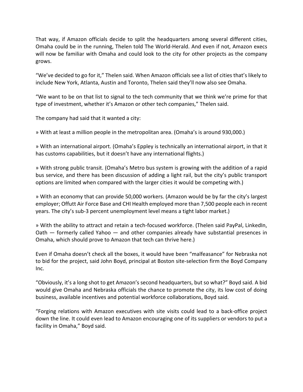That way, if Amazon officials decide to split the headquarters among several different cities, Omaha could be in the running, Thelen told The World‐Herald. And even if not, Amazon execs will now be familiar with Omaha and could look to the city for other projects as the company grows.

"We've decided to go for it," Thelen said. When Amazon officials see a list of cities that's likely to include New York, Atlanta, Austin and Toronto, Thelen said they'll now also see Omaha.

"We want to be on that list to signal to the tech community that we think we're prime for that type of investment, whether it's Amazon or other tech companies," Thelen said.

The company had said that it wanted a city:

» With at least a million people in the metropolitan area. (Omaha's is around 930,000.)

» With an international airport. (Omaha's Eppley is technically an international airport, in that it has customs capabilities, but it doesn't have any international flights.)

» With strong public transit. (Omaha's Metro bus system is growing with the addition of a rapid bus service, and there has been discussion of adding a light rail, but the city's public transport options are limited when compared with the larger cities it would be competing with.)

» With an economy that can provide 50,000 workers. (Amazon would be by far the city's largest employer; Offutt Air Force Base and CHI Health employed more than 7,500 people each in recent years. The city's sub‐3 percent unemployment level means a tight labor market.)

» With the ability to attract and retain a tech‐focused workforce. (Thelen said PayPal, LinkedIn, Oath — formerly called Yahoo — and other companies already have substantial presences in Omaha, which should prove to Amazon that tech can thrive here.)

Even if Omaha doesn't check all the boxes, it would have been "malfeasance" for Nebraska not to bid for the project, said John Boyd, principal at Boston site‐selection firm the Boyd Company Inc.

"Obviously, it's a long shot to get Amazon's second headquarters, but so what?" Boyd said. A bid would give Omaha and Nebraska officials the chance to promote the city, its low cost of doing business, available incentives and potential workforce collaborations, Boyd said.

"Forging relations with Amazon executives with site visits could lead to a back‐office project down the line. It could even lead to Amazon encouraging one of its suppliers or vendors to put a facility in Omaha," Boyd said.